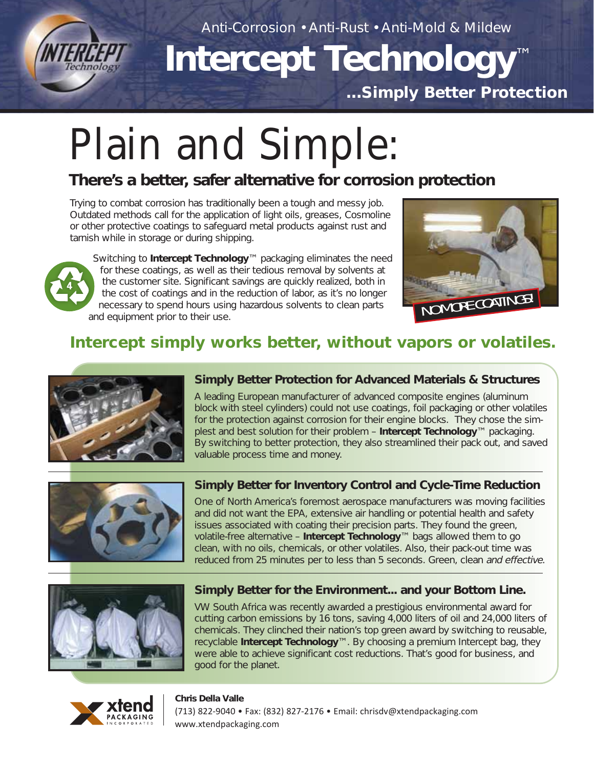

Anti-Corrosion • Anti-Rust • Anti-Mold & Mildew

# **Intercept Technology**™ **...Simply Better Protection**

# Plain and Simple:

# **There's a better, safer alternative for corrosion protection**

Trying to combat corrosion has traditionally been a tough and messy job. Outdated methods call for the application of light oils, greases, Cosmoline or other protective coatings to safeguard metal products against rust and tarnish while in storage or during shipping.

Switching to **Intercept Technology**™ packaging eliminates the need for these coatings, as well as their tedious removal by solvents at the customer site. Significant savings are quickly realized, both in the cost of coatings and in the reduction of labor, as it's no longer necessary to spend hours using hazardous solvents to clean parts and equipment prior to their use.



# **Intercept simply works better, without vapors or volatiles.**



#### **Simply Better Protection for Advanced Materials & Structures**

A leading European manufacturer of advanced composite engines (aluminum block with steel cylinders) could not use coatings, foil packaging or other volatiles for the protection against corrosion for their engine blocks. They chose the simplest and best solution for their problem – **Intercept Technology**™ packaging. By switching to better protection, they also streamlined their pack out, and saved valuable process time and money.



#### **Simply Better for Inventory Control and Cycle-Time Reduction**

One of North America's foremost aerospace manufacturers was moving facilities and did not want the EPA, extensive air handling or potential health and safety issues associated with coating their precision parts. They found the green, volatile-free alternative – **Intercept Technology**™ bags allowed them to go clean, with no oils, chemicals, or other volatiles. Also, their pack-out time was reduced from 25 minutes per to less than 5 seconds. Green, clean and effective.



#### **Simply Better for the Environment... and your Bottom Line.**

VW South Africa was recently awarded a prestigious environmental award for cutting carbon emissions by 16 tons, saving 4,000 liters of oil and 24,000 liters of chemicals. They clinched their nation's top green award by switching to reusable, recyclable **Intercept Technology**™. By choosing a premium Intercept bag, they were able to achieve significant cost reductions. That's good for business, and good for the planet.



#### **Chris Della Valle** (713) 822-9040 • Fax: (832) 827-2176 • Email: chrisdv@xtendpackaging.com www.xtendpackaging.com